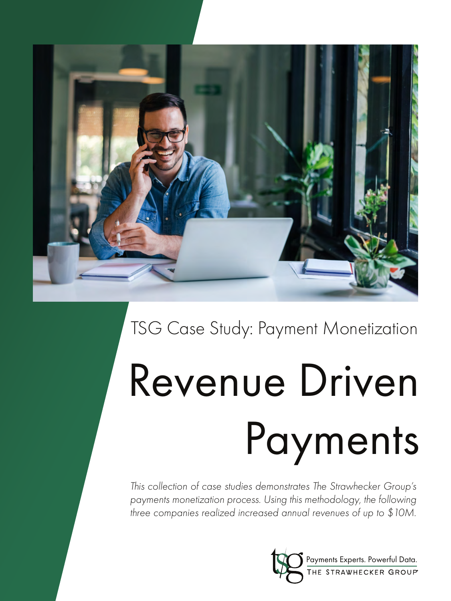

## TSG Case Study: Payment Monetization

# Revenue Driven Payments

*This collection of case studies demonstrates The Strawhecker Group's payments monetization process. Using this methodology, the following three companies realized increased annual revenues of up to \$10M.* 

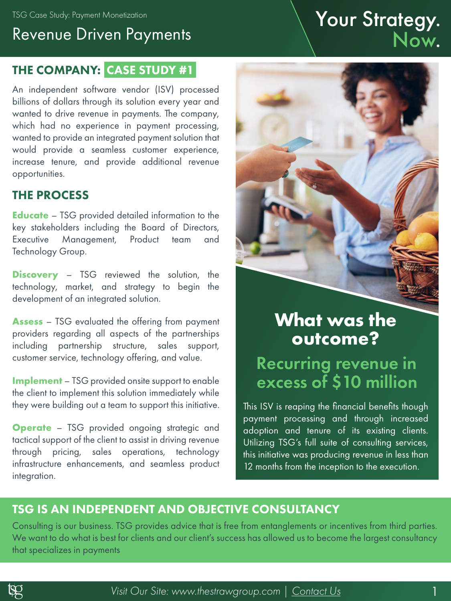## Revenue Driven Payments TSG Case Study: Payment Monetization November 1997.<br>Revenue Driven Payments Now.

#### THE COMPANY: CASE STUDY #1

An independent software vendor (ISV) processed billions of dollars through its solution every year and wanted to drive revenue in payments. The company, which had no experience in payment processing, wanted to provide an integrated payment solution that would provide a seamless customer experience, increase tenure, and provide additional revenue opportunities.

#### THE PROCESS

**Educate** – TSG provided detailed information to the key stakeholders including the Board of Directors, Executive Management, Product team and Technology Group.

**Discovery** – TSG reviewed the solution, the technology, market, and strategy to begin the development of an integrated solution.

**Assess** – TSG evaluated the offering from payment providers regarding all aspects of the partnerships including partnership structure, sales support, customer service, technology offering, and value.

**Implement** – TSG provided onsite support to enable the client to implement this solution immediately while they were building out a team to support this initiative.

**Operate** – TSG provided ongoing strategic and tactical support of the client to assist in driving revenue through pricing, sales operations, technology infrastructure enhancements, and seamless product integration.



## **What was the outcome?**

#### Recurring revenue in excess of \$10 million

This ISV is reaping the financial benefits though payment processing and through increased adoption and tenure of its existing clients. Utilizing TSG's full suite of consulting services, this initiative was producing revenue in less than 12 months from the inception to the execution.

#### TSG IS AN INDEPENDENT AND OBJECTIVE CONSULTANCY

Consulting is our business. TSG provides advice that is free from entanglements or incentives from third parties. We want to do what is best for clients and our client's success has allowed us to become the largest consultancy that specializes in payments

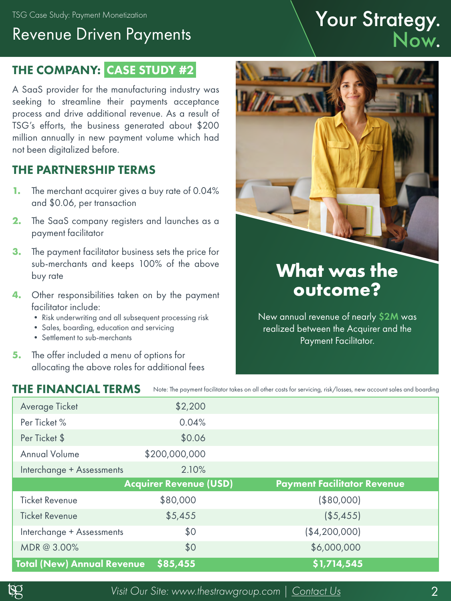TSG Case Study: Payment Monetization

## Revenue Driven Payments

#### THE COMPANY: CASE STUDY #2

A SaaS provider for the manufacturing industry was seeking to streamline their payments acceptance process and drive additional revenue. As a result of TSG's efforts, the business generated about \$200 million annually in new payment volume which had not been digitalized before.

#### THE PARTNERSHIP TERMS

- **1.** The merchant acquirer gives a buy rate of 0.04% and \$0.06, per transaction
- **2.** The SaaS company registers and launches as a payment facilitator
- **3.** The payment facilitator business sets the price for sub-merchants and keeps 100% of the above buy rate
- **4.** Other responsibilities taken on by the payment facilitator include:
	- Risk underwriting and all subsequent processing risk
	- Sales, boarding, education and servicing
	- Settlement to sub-merchants

THE FINANCIAL TERMS

**5.** The offer included a menu of options for allocating the above roles for additional fees

## Your Strategy.<br>Now.



## **What was the outcome?**

New annual revenue of nearly \$2M was realized between the Acquirer and the Payment Facilitator.

| THE FINANCIAL TERMS               |                               | Note: The payment facilitator takes on all other costs for servicing, risk/losses, new account sales and boarding |
|-----------------------------------|-------------------------------|-------------------------------------------------------------------------------------------------------------------|
| Average Ticket                    | \$2,200                       |                                                                                                                   |
| Per Ticket %                      | 0.04%                         |                                                                                                                   |
| Per Ticket \$                     | \$0.06                        |                                                                                                                   |
| <b>Annual Volume</b>              | \$200,000,000                 |                                                                                                                   |
| Interchange + Assessments         | 2.10%                         |                                                                                                                   |
|                                   | <b>Acquirer Revenue (USD)</b> | <b>Payment Facilitator Revenue</b>                                                                                |
| <b>Ticket Revenue</b>             | \$80,000                      | $($ \$80,000)                                                                                                     |
| <b>Ticket Revenue</b>             | \$5,455                       | ( \$5,455)                                                                                                        |
| Interchange + Assessments         | \$0                           | ( \$4,200,000]                                                                                                    |
| MDR@ 3.00%                        | \$0                           | \$6,000,000                                                                                                       |
| <b>Total (New) Annual Revenue</b> | \$85,455                      | \$1,714,545                                                                                                       |

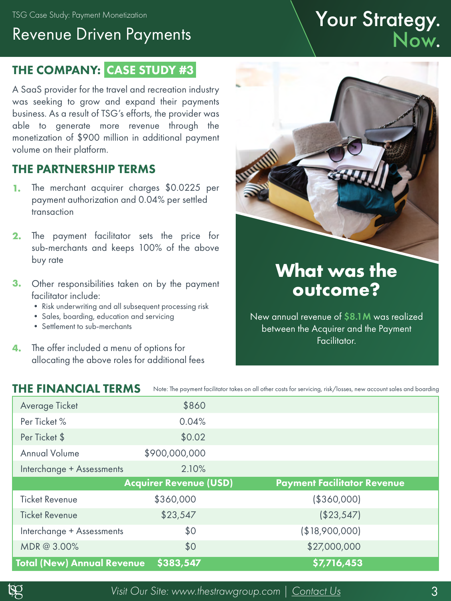TSG Case Study: Payment Monetization

### Revenue Driven Payments

#### THE COMPANY: CASE STUDY #3

A SaaS provider for the travel and recreation industry was seeking to grow and expand their payments business. As a result of TSG's efforts, the provider was able to generate more revenue through the monetization of \$900 million in additional payment volume on their platform.

#### THE PARTNERSHIP TERMS

- **1.** The merchant acquirer charges \$0.0225 per payment authorization and 0.04% per settled transaction
- **2.** The payment facilitator sets the price for sub-merchants and keeps 100% of the above buy rate
- **3.** Other responsibilities taken on by the payment facilitator include:
	- Risk underwriting and all subsequent processing risk
	- Sales, boarding, education and servicing
	- Settlement to sub-merchants
- **4.** The offer included a menu of options for allocating the above roles for additional fees

## Facilitator.

| <b>THE FINANCIAL TERMS</b>        |                               | Note: The payment facilitator takes on all other costs for servicing, risk/losses, new account sales and boarding |
|-----------------------------------|-------------------------------|-------------------------------------------------------------------------------------------------------------------|
| Average Ticket                    | \$860                         |                                                                                                                   |
| Per Ticket %                      | 0.04%                         |                                                                                                                   |
| Per Ticket \$                     | \$0.02                        |                                                                                                                   |
| <b>Annual Volume</b>              | \$900,000,000                 |                                                                                                                   |
| Interchange + Assessments         | 2.10%                         |                                                                                                                   |
|                                   | <b>Acquirer Revenue (USD)</b> | <b>Payment Facilitator Revenue</b>                                                                                |
| <b>Ticket Revenue</b>             | \$360,000                     | ( \$360,000]                                                                                                      |
| <b>Ticket Revenue</b>             | \$23,547                      | (\$23,547)                                                                                                        |
| Interchange + Assessments         | \$0                           | (\$18,900,000)                                                                                                    |
| MDR@ 3.00%                        | \$0                           | \$27,000,000                                                                                                      |
| <b>Total (New) Annual Revenue</b> | \$383,547                     | \$7,716,453                                                                                                       |



Your Strategy.<br>Now.

## **What was the outcome?**

New annual revenue of \$8.1M was realized between the Acquirer and the Payment



*Visit Our Site: www.thestrawgroup.com [| Contact Us](https://thestrawgroup.com/contact)* 3